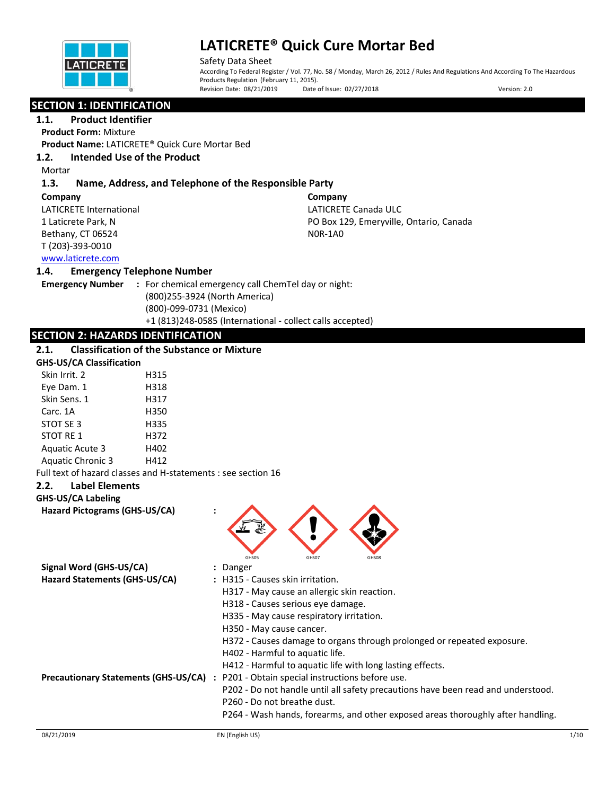

Safety Data Sheet According To Federal Register / Vol. 77, No. 58 / Monday, March 26, 2012 / Rules And Regulations And According To The Hazardous Products Regulation (February 11, 2015).<br>Revision Date: 08/21/2019 Date of Issue: 02/27/2018 Revision Date: 08/21/2019 Date of Issue: 02/27/2018 Date: 03/2019 Date: 02/27/2018

## **SECTION 1: IDENTIFICATION**

### **1.1. Product Identifier**

**Product Form:** Mixture

**Product Name:** LATICRETE® Quick Cure Mortar Bed

#### **1.2. Intended Use of the Product**

Mortar

### **1.3. Name, Address, and Telephone of the Responsible Party**

**Company** 

LATICRETE International 1 Laticrete Park, N Bethany, CT 06524 T (203)-393-0010

**Company**  LATICRETE Canada ULC PO Box 129, Emeryville, Ontario, Canada N0R-1A0

## [www.laticrete.com](http://www.laticrete.com/)

#### **1.4. Emergency Telephone Number**

| <b>Emergency Number</b> | : For chemical emergency call ChemTel day or night:       |  |
|-------------------------|-----------------------------------------------------------|--|
|                         | (800)255-3924 (North America)                             |  |
|                         | (800)-099-0731 (Mexico)                                   |  |
|                         | +1 (813)248-0585 (International - collect calls accepted) |  |

### **SECTION 2: HAZARDS IDENTIFICATION**

#### **2.1. Classification of the Substance or Mixture**

| <b>GHS-US/CA Classification</b> |      |
|---------------------------------|------|
| Skin Irrit. 2                   | H315 |
| Eye Dam. 1                      | H318 |
| Skin Sens. 1                    | H317 |
| Carc. 1A                        | H350 |
| STOT SE 3                       | H335 |
| STOT RF 1                       | H372 |
| <b>Aguatic Acute 3</b>          | H402 |
| <b>Aquatic Chronic 3</b>        | H412 |
|                                 |      |

Full text of hazard classes and H-statements : see section 16

#### **2.2. Label Elements**

**GHS-US/CA Labeling**

**Hazard Pictograms (GHS-US/CA) :**



| Signal Word (GHS-US/CA)                     | : Danger                                                                         |
|---------------------------------------------|----------------------------------------------------------------------------------|
| Hazard Statements (GHS-US/CA)               | : H315 - Causes skin irritation.                                                 |
|                                             | H317 - May cause an allergic skin reaction.                                      |
|                                             | H318 - Causes serious eye damage.                                                |
|                                             | H335 - May cause respiratory irritation.                                         |
|                                             | H350 - May cause cancer.                                                         |
|                                             | H372 - Causes damage to organs through prolonged or repeated exposure.           |
|                                             | H402 - Harmful to aquatic life.                                                  |
|                                             | H412 - Harmful to aquatic life with long lasting effects.                        |
| <b>Precautionary Statements (GHS-US/CA)</b> | : P201 - Obtain special instructions before use.                                 |
|                                             | P202 - Do not handle until all safety precautions have been read and understood. |
|                                             | P260 - Do not breathe dust.                                                      |
|                                             | P264 - Wash hands, forearms, and other exposed areas thoroughly after handling.  |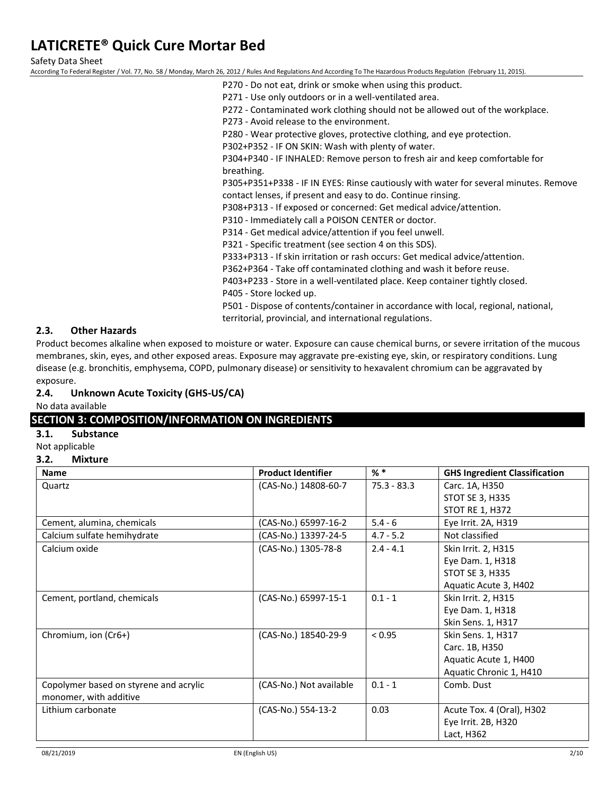Safety Data Sheet

According To Federal Register / Vol. 77, No. 58 / Monday, March 26, 2012 / Rules And Regulations And According To The Hazardous Products Regulation (February 11, 2015).

- P270 Do not eat, drink or smoke when using this product.
- P271 Use only outdoors or in a well-ventilated area.
- P272 Contaminated work clothing should not be allowed out of the workplace.
- P273 Avoid release to the environment.
- P280 Wear protective gloves, protective clothing, and eye protection.
- P302+P352 IF ON SKIN: Wash with plenty of water.

P304+P340 - IF INHALED: Remove person to fresh air and keep comfortable for breathing.

P305+P351+P338 - IF IN EYES: Rinse cautiously with water for several minutes. Remove contact lenses, if present and easy to do. Continue rinsing.

P308+P313 - If exposed or concerned: Get medical advice/attention.

P310 - Immediately call a POISON CENTER or doctor.

P314 - Get medical advice/attention if you feel unwell.

P321 - Specific treatment (see section 4 on this SDS).

P333+P313 - If skin irritation or rash occurs: Get medical advice/attention.

P362+P364 - Take off contaminated clothing and wash it before reuse.

P403+P233 - Store in a well-ventilated place. Keep container tightly closed.

P405 - Store locked up.

P501 - Dispose of contents/container in accordance with local, regional, national, territorial, provincial, and international regulations.

#### **2.3. Other Hazards**

Product becomes alkaline when exposed to moisture or water. Exposure can cause chemical burns, or severe irritation of the mucous membranes, skin, eyes, and other exposed areas. Exposure may aggravate pre-existing eye, skin, or respiratory conditions. Lung disease (e.g. bronchitis, emphysema, COPD, pulmonary disease) or sensitivity to hexavalent chromium can be aggravated by exposure.

#### **2.4. Unknown Acute Toxicity (GHS-US/CA)**

No data available

### **SECTION 3: COMPOSITION/INFORMATION ON INGREDIENTS**

#### **3.1. Substance**

Not applicable

#### **3.2. Mixture**

| <b>Name</b>                                                      | <b>Product Identifier</b> | $%$ $*$       | <b>GHS Ingredient Classification</b> |
|------------------------------------------------------------------|---------------------------|---------------|--------------------------------------|
| Quartz                                                           | (CAS-No.) 14808-60-7      | $75.3 - 83.3$ | Carc. 1A, H350                       |
|                                                                  |                           |               | STOT SE 3, H335                      |
|                                                                  |                           |               | STOT RE 1, H372                      |
| Cement, alumina, chemicals                                       | (CAS-No.) 65997-16-2      | $5.4 - 6$     | Eye Irrit. 2A, H319                  |
| Calcium sulfate hemihydrate                                      | (CAS-No.) 13397-24-5      | $4.7 - 5.2$   | Not classified                       |
| Calcium oxide                                                    | (CAS-No.) 1305-78-8       | $2.4 - 4.1$   | Skin Irrit. 2, H315                  |
|                                                                  |                           |               | Eye Dam. 1, H318                     |
|                                                                  |                           |               | STOT SE 3, H335                      |
|                                                                  |                           |               | Aquatic Acute 3, H402                |
| Cement, portland, chemicals                                      | (CAS-No.) 65997-15-1      | $0.1 - 1$     | Skin Irrit. 2, H315                  |
|                                                                  |                           |               | Eye Dam. 1, H318                     |
|                                                                  |                           |               | Skin Sens. 1, H317                   |
| Chromium, ion (Cr6+)                                             | (CAS-No.) 18540-29-9      | < 0.95        | Skin Sens. 1, H317                   |
|                                                                  |                           |               | Carc. 1B, H350                       |
|                                                                  |                           |               | Aquatic Acute 1, H400                |
|                                                                  |                           |               | Aquatic Chronic 1, H410              |
| Copolymer based on styrene and acrylic<br>monomer, with additive | (CAS-No.) Not available   | $0.1 - 1$     | Comb. Dust                           |
| Lithium carbonate                                                | (CAS-No.) 554-13-2        | 0.03          | Acute Tox. 4 (Oral), H302            |
|                                                                  |                           |               | Eye Irrit. 2B, H320                  |
|                                                                  |                           |               | Lact, H362                           |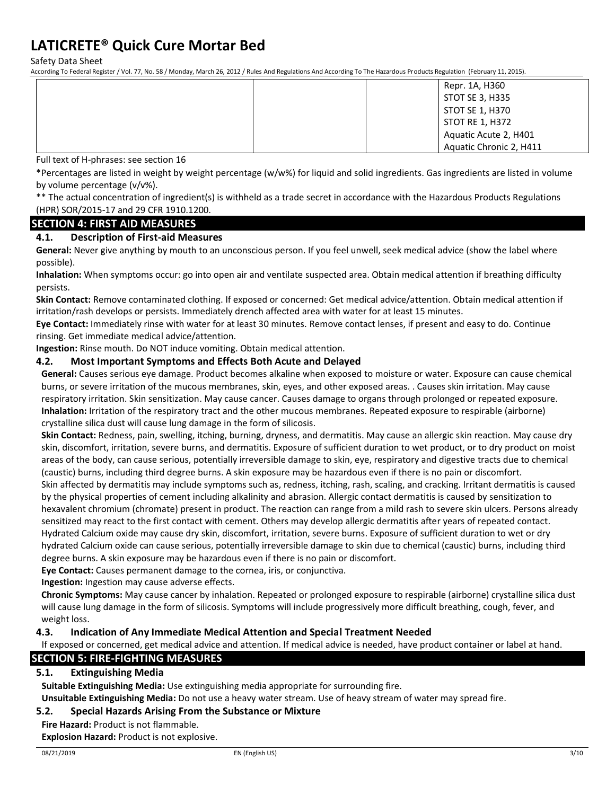Safety Data Sheet

According To Federal Register / Vol. 77, No. 58 / Monday, March 26, 2012 / Rules And Regulations And According To The Hazardous Products Regulation (February 11, 2015).

|  | Repr. 1A, H360          |
|--|-------------------------|
|  | STOT SE 3, H335         |
|  | STOT SE 1, H370         |
|  | STOT RE 1, H372         |
|  | Aquatic Acute 2, H401   |
|  | Aquatic Chronic 2, H411 |

Full text of H-phrases: see section 16

\*Percentages are listed in weight by weight percentage (w/w%) for liquid and solid ingredients. Gas ingredients are listed in volume by volume percentage (v/v%).

\*\* The actual concentration of ingredient(s) is withheld as a trade secret in accordance with the Hazardous Products Regulations (HPR) SOR/2015-17 and 29 CFR 1910.1200.

#### **SECTION 4: FIRST AID MEASURES**

#### **4.1. Description of First-aid Measures**

**General:** Never give anything by mouth to an unconscious person. If you feel unwell, seek medical advice (show the label where possible).

**Inhalation:** When symptoms occur: go into open air and ventilate suspected area. Obtain medical attention if breathing difficulty persists.

**Skin Contact:** Remove contaminated clothing. If exposed or concerned: Get medical advice/attention. Obtain medical attention if irritation/rash develops or persists. Immediately drench affected area with water for at least 15 minutes.

**Eye Contact:** Immediately rinse with water for at least 30 minutes. Remove contact lenses, if present and easy to do. Continue rinsing. Get immediate medical advice/attention.

**Ingestion:** Rinse mouth. Do NOT induce vomiting. Obtain medical attention.

#### **4.2. Most Important Symptoms and Effects Both Acute and Delayed**

**General:** Causes serious eye damage. Product becomes alkaline when exposed to moisture or water. Exposure can cause chemical burns, or severe irritation of the mucous membranes, skin, eyes, and other exposed areas. . Causes skin irritation. May cause respiratory irritation. Skin sensitization. May cause cancer. Causes damage to organs through prolonged or repeated exposure. **Inhalation:** Irritation of the respiratory tract and the other mucous membranes. Repeated exposure to respirable (airborne) crystalline silica dust will cause lung damage in the form of silicosis.

**Skin Contact:** Redness, pain, swelling, itching, burning, dryness, and dermatitis. May cause an allergic skin reaction. May cause dry skin, discomfort, irritation, severe burns, and dermatitis. Exposure of sufficient duration to wet product, or to dry product on moist areas of the body, can cause serious, potentially irreversible damage to skin, eye, respiratory and digestive tracts due to chemical (caustic) burns, including third degree burns. A skin exposure may be hazardous even if there is no pain or discomfort.

Skin affected by dermatitis may include symptoms such as, redness, itching, rash, scaling, and cracking. Irritant dermatitis is caused by the physical properties of cement including alkalinity and abrasion. Allergic contact dermatitis is caused by sensitization to hexavalent chromium (chromate) present in product. The reaction can range from a mild rash to severe skin ulcers. Persons already sensitized may react to the first contact with cement. Others may develop allergic dermatitis after years of repeated contact. Hydrated Calcium oxide may cause dry skin, discomfort, irritation, severe burns. Exposure of sufficient duration to wet or dry hydrated Calcium oxide can cause serious, potentially irreversible damage to skin due to chemical (caustic) burns, including third degree burns. A skin exposure may be hazardous even if there is no pain or discomfort.

**Eye Contact:** Causes permanent damage to the cornea, iris, or conjunctiva.

**Ingestion:** Ingestion may cause adverse effects.

**Chronic Symptoms:** May cause cancer by inhalation. Repeated or prolonged exposure to respirable (airborne) crystalline silica dust will cause lung damage in the form of silicosis. Symptoms will include progressively more difficult breathing, cough, fever, and weight loss.

#### **4.3. Indication of Any Immediate Medical Attention and Special Treatment Needed**

If exposed or concerned, get medical advice and attention. If medical advice is needed, have product container or label at hand. **SECTION 5: FIRE-FIGHTING MEASURES**

### **5.1. Extinguishing Media**

**Suitable Extinguishing Media:** Use extinguishing media appropriate for surrounding fire.

**Unsuitable Extinguishing Media:** Do not use a heavy water stream. Use of heavy stream of water may spread fire.

#### **5.2. Special Hazards Arising From the Substance or Mixture**

**Fire Hazard:** Product is not flammable.

**Explosion Hazard:** Product is not explosive.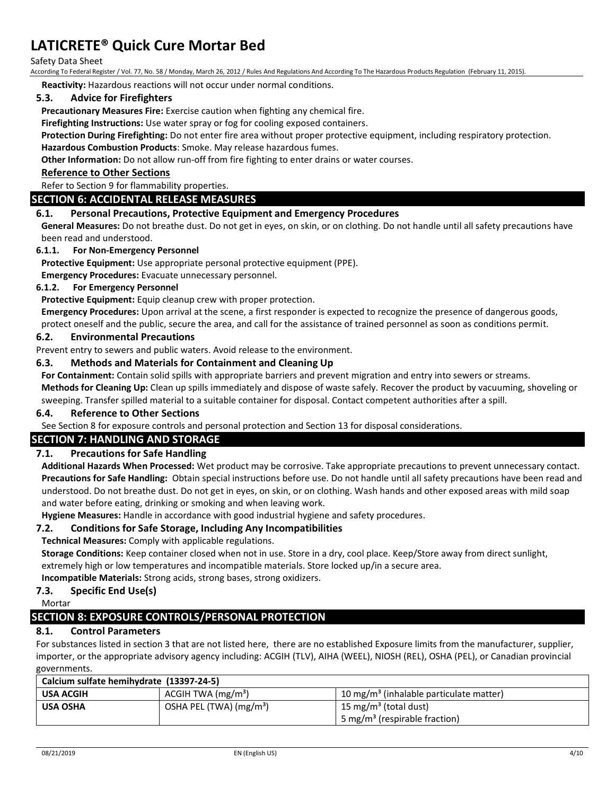#### Safety Data Sheet

According To Federal Register / Vol. 77, No. 58 / Monday, March 26, 2012 / Rules And Regulations And According To The Hazardous Products Regulation (February 11, 2015).

**Reactivity:** Hazardous reactions will not occur under normal conditions.

#### **5.3. Advice for Firefighters**

**Precautionary Measures Fire:** Exercise caution when fighting any chemical fire.

**Firefighting Instructions:** Use water spray or fog for cooling exposed containers.

**Protection During Firefighting:** Do not enter fire area without proper protective equipment, including respiratory protection. **Hazardous Combustion Products**: Smoke. May release hazardous fumes.

**Other Information:** Do not allow run-off from fire fighting to enter drains or water courses.

#### **Reference to Other Sections**

Refer to Section 9 for flammability properties.

#### **SECTION 6: ACCIDENTAL RELEASE MEASURES**

#### **6.1. Personal Precautions, Protective Equipment and Emergency Procedures**

**General Measures:** Do not breathe dust. Do not get in eyes, on skin, or on clothing. Do not handle until all safety precautions have been read and understood.

#### **6.1.1. For Non-Emergency Personnel**

**Protective Equipment:** Use appropriate personal protective equipment (PPE).

**Emergency Procedures:** Evacuate unnecessary personnel.

#### **6.1.2. For Emergency Personnel**

**Protective Equipment:** Equip cleanup crew with proper protection.

**Emergency Procedures:** Upon arrival at the scene, a first responder is expected to recognize the presence of dangerous goods,

protect oneself and the public, secure the area, and call for the assistance of trained personnel as soon as conditions permit.

#### **6.2. Environmental Precautions**

Prevent entry to sewers and public waters. Avoid release to the environment.

#### **6.3. Methods and Materials for Containment and Cleaning Up**

**For Containment:** Contain solid spills with appropriate barriers and prevent migration and entry into sewers or streams.

**Methods for Cleaning Up:** Clean up spills immediately and dispose of waste safely. Recover the product by vacuuming, shoveling or sweeping. Transfer spilled material to a suitable container for disposal. Contact competent authorities after a spill.

#### **6.4. Reference to Other Sections**

See Section 8 for exposure controls and personal protection and Section 13 for disposal considerations.

#### **SECTION 7: HANDLING AND STORAGE**

#### **7.1. Precautions for Safe Handling**

**Additional Hazards When Processed:** Wet product may be corrosive. Take appropriate precautions to prevent unnecessary contact. **Precautions for Safe Handling:** Obtain special instructions before use. Do not handle until all safety precautions have been read and understood. Do not breathe dust. Do not get in eyes, on skin, or on clothing. Wash hands and other exposed areas with mild soap and water before eating, drinking or smoking and when leaving work.

**Hygiene Measures:** Handle in accordance with good industrial hygiene and safety procedures.

#### **7.2. Conditions for Safe Storage, Including Any Incompatibilities**

**Technical Measures:** Comply with applicable regulations.

**Storage Conditions:** Keep container closed when not in use. Store in a dry, cool place. Keep/Store away from direct sunlight, extremely high or low temperatures and incompatible materials. Store locked up/in a secure area.

**Incompatible Materials:** Strong acids, strong bases, strong oxidizers.

### **7.3. Specific End Use(s)**

Mortar

## **SECTION 8: EXPOSURE CONTROLS/PERSONAL PROTECTION**

#### **8.1. Control Parameters**

For substances listed in section 3 that are not listed here, there are no established Exposure limits from the manufacturer, supplier, importer, or the appropriate advisory agency including: ACGIH (TLV), AIHA (WEEL), NIOSH (REL), OSHA (PEL), or Canadian provincial governments.

| Calcium sulfate hemihydrate (13397-24-5) |                                     |                                                     |  |
|------------------------------------------|-------------------------------------|-----------------------------------------------------|--|
| <b>USA ACGIH</b>                         | $ACGIH TWA$ (mg/m <sup>3</sup> )    | 10 mg/m <sup>3</sup> (inhalable particulate matter) |  |
| <b>USA OSHA</b>                          | OSHA PEL (TWA) (mg/m <sup>3</sup> ) | 15 mg/m <sup>3</sup> (total dust)                   |  |
|                                          |                                     | 5 mg/m <sup>3</sup> (respirable fraction)           |  |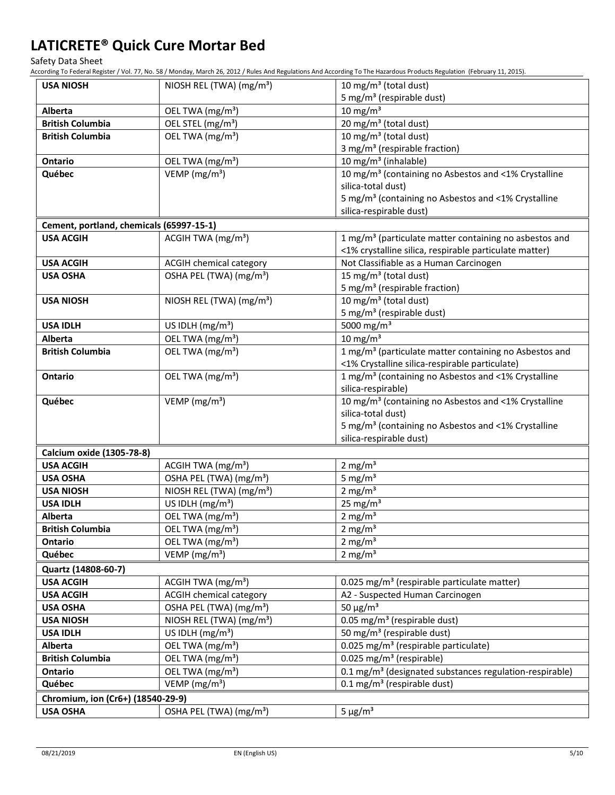Safety Data Sheet

According To Federal Register / Vol. 77, No. 58 / Monday, March 26, 2012 / Rules And Regulations And According To The Hazardous Products Regulation (February 11, 2015).

| <b>USA NIOSH</b>                         | NIOSH REL (TWA) (mg/m <sup>3</sup> ) | 10 mg/m <sup>3</sup> (total dust)                                   |
|------------------------------------------|--------------------------------------|---------------------------------------------------------------------|
|                                          |                                      | 5 mg/m <sup>3</sup> (respirable dust)                               |
| Alberta                                  | OEL TWA (mg/m <sup>3</sup> )         | $10 \text{ mg/m}^3$                                                 |
| <b>British Columbia</b>                  | OEL STEL (mg/m <sup>3</sup> )        | 20 mg/m <sup>3</sup> (total dust)                                   |
| <b>British Columbia</b>                  | OEL TWA (mg/m <sup>3</sup> )         | 10 mg/m <sup>3</sup> (total dust)                                   |
|                                          |                                      | 3 mg/m <sup>3</sup> (respirable fraction)                           |
| Ontario                                  | OEL TWA (mg/m <sup>3</sup> )         | 10 mg/m <sup>3</sup> (inhalable)                                    |
| Québec                                   | VEMP ( $mg/m3$ )                     | 10 mg/m <sup>3</sup> (containing no Asbestos and <1% Crystalline    |
|                                          |                                      | silica-total dust)                                                  |
|                                          |                                      | 5 mg/m <sup>3</sup> (containing no Asbestos and <1% Crystalline     |
|                                          |                                      | silica-respirable dust)                                             |
| Cement, portland, chemicals (65997-15-1) |                                      |                                                                     |
| <b>USA ACGIH</b>                         | ACGIH TWA (mg/m <sup>3</sup> )       | 1 mg/m <sup>3</sup> (particulate matter containing no asbestos and  |
|                                          |                                      | <1% crystalline silica, respirable particulate matter)              |
| <b>USA ACGIH</b>                         | <b>ACGIH chemical category</b>       | Not Classifiable as a Human Carcinogen                              |
| <b>USA OSHA</b>                          | OSHA PEL (TWA) (mg/m <sup>3</sup> )  | 15 mg/m <sup>3</sup> (total dust)                                   |
|                                          |                                      | 5 mg/m <sup>3</sup> (respirable fraction)                           |
| <b>USA NIOSH</b>                         | NIOSH REL (TWA) (mg/m <sup>3</sup> ) | 10 mg/m <sup>3</sup> (total dust)                                   |
|                                          |                                      | 5 mg/m <sup>3</sup> (respirable dust)                               |
| <b>USA IDLH</b>                          | US IDLH (mg/m <sup>3</sup> )         | 5000 mg/m <sup>3</sup>                                              |
| Alberta                                  | OEL TWA (mg/m <sup>3</sup> )         | $10 \text{ mg/m}^3$                                                 |
| <b>British Columbia</b>                  | OEL TWA (mg/m <sup>3</sup> )         | 1 mg/m <sup>3</sup> (particulate matter containing no Asbestos and  |
|                                          |                                      | <1% Crystalline silica-respirable particulate)                      |
| Ontario                                  | OEL TWA (mg/m <sup>3</sup> )         | 1 mg/m <sup>3</sup> (containing no Asbestos and <1% Crystalline     |
|                                          |                                      | silica-respirable)                                                  |
| Québec                                   | VEMP ( $mg/m3$ )                     | 10 mg/m <sup>3</sup> (containing no Asbestos and <1% Crystalline    |
|                                          |                                      | silica-total dust)                                                  |
|                                          |                                      | 5 mg/m <sup>3</sup> (containing no Asbestos and <1% Crystalline     |
|                                          |                                      | silica-respirable dust)                                             |
| Calcium oxide (1305-78-8)                |                                      |                                                                     |
| <b>USA ACGIH</b>                         | ACGIH TWA $(mg/m3)$                  | 2 mg/ $m3$                                                          |
| <b>USA OSHA</b>                          | OSHA PEL (TWA) (mg/m <sup>3</sup> )  | 5 mg/ $m3$                                                          |
| <b>USA NIOSH</b>                         | NIOSH REL (TWA) (mg/m <sup>3</sup> ) | 2 mg/ $m3$                                                          |
| <b>USA IDLH</b>                          | US IDLH (mg/m <sup>3</sup> )         | $25$ mg/m <sup>3</sup>                                              |
| Alberta                                  | OEL TWA (mg/m <sup>3</sup> )         | 2 mg/ $m3$                                                          |
| <b>British Columbia</b>                  | OEL TWA (mg/m <sup>3</sup> )         | $2 \text{ mg/m}^3$                                                  |
| Ontario                                  | OEL TWA (mg/m <sup>3</sup> )         | 2 mg/ $m3$                                                          |
| Québec                                   | VEMP ( $mg/m3$ )                     | 2 mg/ $m3$                                                          |
| Quartz (14808-60-7)                      |                                      |                                                                     |
| <b>USA ACGIH</b>                         | ACGIH TWA (mg/m <sup>3</sup> )       | 0.025 mg/m <sup>3</sup> (respirable particulate matter)             |
| <b>USA ACGIH</b>                         | <b>ACGIH chemical category</b>       | A2 - Suspected Human Carcinogen                                     |
| <b>USA OSHA</b>                          | OSHA PEL (TWA) (mg/m <sup>3</sup> )  | 50 $\mu$ g/m <sup>3</sup>                                           |
| <b>USA NIOSH</b>                         | NIOSH REL (TWA) (mg/m <sup>3</sup> ) | 0.05 mg/m <sup>3</sup> (respirable dust)                            |
| <b>USA IDLH</b>                          | US IDLH $(mg/m3)$                    | 50 mg/m <sup>3</sup> (respirable dust)                              |
| <b>Alberta</b>                           | OEL TWA (mg/m <sup>3</sup> )         | 0.025 mg/m <sup>3</sup> (respirable particulate)                    |
| <b>British Columbia</b>                  | OEL TWA (mg/m <sup>3</sup> )         | 0.025 mg/m <sup>3</sup> (respirable)                                |
| Ontario                                  | OEL TWA (mg/m <sup>3</sup> )         | 0.1 mg/m <sup>3</sup> (designated substances regulation-respirable) |
| Québec                                   | VEMP ( $mg/m3$ )                     | $0.1$ mg/m <sup>3</sup> (respirable dust)                           |
| Chromium, ion (Cr6+) (18540-29-9)        |                                      |                                                                     |
| <b>USA OSHA</b>                          | OSHA PEL (TWA) (mg/m <sup>3</sup> )  | $5 \mu g/m^3$                                                       |
|                                          |                                      |                                                                     |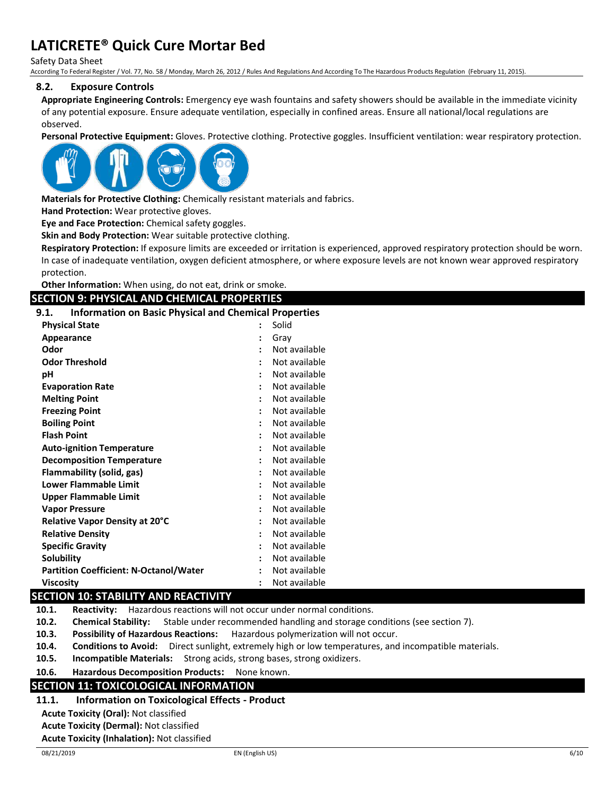Safety Data Sheet

According To Federal Register / Vol. 77, No. 58 / Monday, March 26, 2012 / Rules And Regulations And According To The Hazardous Products Regulation (February 11, 2015).

#### **8.2. Exposure Controls**

**Appropriate Engineering Controls:** Emergency eye wash fountains and safety showers should be available in the immediate vicinity of any potential exposure. Ensure adequate ventilation, especially in confined areas. Ensure all national/local regulations are observed.

**Personal Protective Equipment:** Gloves. Protective clothing. Protective goggles. Insufficient ventilation: wear respiratory protection.



**Materials for Protective Clothing:** Chemically resistant materials and fabrics.

**Hand Protection:** Wear protective gloves.

**Eye and Face Protection:** Chemical safety goggles.

**Skin and Body Protection:** Wear suitable protective clothing.

**Respiratory Protection:** If exposure limits are exceeded or irritation is experienced, approved respiratory protection should be worn. In case of inadequate ventilation, oxygen deficient atmosphere, or where exposure levels are not known wear approved respiratory protection.

**Other Information:** When using, do not eat, drink or smoke.

#### **SECTION 9: PHYSICAL AND CHEMICAL PROPERTIES**

**9.1. Information on Basic Physical and Chemical Properties**

| <b>Physical State</b>                         | :              | Solid         |
|-----------------------------------------------|----------------|---------------|
| Appearance                                    |                | Gray          |
| Odor                                          | $\ddot{\cdot}$ | Not available |
| <b>Odor Threshold</b>                         |                | Not available |
| рH                                            |                | Not available |
| <b>Evaporation Rate</b>                       |                | Not available |
| <b>Melting Point</b>                          | $\ddot{\cdot}$ | Not available |
| <b>Freezing Point</b>                         |                | Not available |
| <b>Boiling Point</b>                          |                | Not available |
| <b>Flash Point</b>                            | ٠              | Not available |
| <b>Auto-ignition Temperature</b>              |                | Not available |
| <b>Decomposition Temperature</b>              |                | Not available |
| Flammability (solid, gas)                     | $\ddot{\cdot}$ | Not available |
| <b>Lower Flammable Limit</b>                  |                | Not available |
| <b>Upper Flammable Limit</b>                  |                | Not available |
| <b>Vapor Pressure</b>                         |                | Not available |
| Relative Vapor Density at 20°C                | $\ddot{\cdot}$ | Not available |
| <b>Relative Density</b>                       |                | Not available |
| <b>Specific Gravity</b>                       |                | Not available |
| <b>Solubility</b>                             |                | Not available |
| <b>Partition Coefficient: N-Octanol/Water</b> |                | Not available |
| <b>Viscosity</b>                              |                | Not available |

#### **SECTION 10: STABILITY AND REACTIVITY**

**10.1. Reactivity:** Hazardous reactions will not occur under normal conditions.

**10.2. Chemical Stability:** Stable under recommended handling and storage conditions (see section 7).

**10.3. Possibility of Hazardous Reactions:** Hazardous polymerization will not occur.

**10.4. Conditions to Avoid:** Direct sunlight, extremely high or low temperatures, and incompatible materials.

**10.5. Incompatible Materials:** Strong acids, strong bases, strong oxidizers.

**10.6. Hazardous Decomposition Products:** None known.

#### **SECTION 11: TOXICOLOGICAL INFORMATION**

#### **11.1. Information on Toxicological Effects - Product**

**Acute Toxicity (Oral):** Not classified

**Acute Toxicity (Dermal):** Not classified

**Acute Toxicity (Inhalation):** Not classified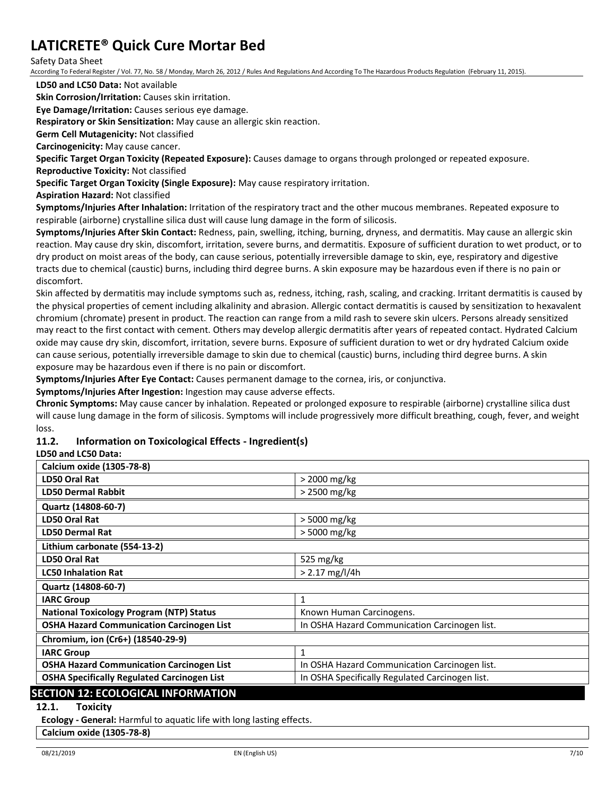#### Safety Data Sheet

According To Federal Register / Vol. 77, No. 58 / Monday, March 26, 2012 / Rules And Regulations And According To The Hazardous Products Regulation (February 11, 2015).

**LD50 and LC50 Data:** Not available

**Skin Corrosion/Irritation:** Causes skin irritation.

**Eye Damage/Irritation:** Causes serious eye damage.

**Respiratory or Skin Sensitization:** May cause an allergic skin reaction.

**Germ Cell Mutagenicity:** Not classified

**Carcinogenicity:** May cause cancer.

**Specific Target Organ Toxicity (Repeated Exposure):** Causes damage to organs through prolonged or repeated exposure.

**Reproductive Toxicity:** Not classified

**Specific Target Organ Toxicity (Single Exposure):** May cause respiratory irritation.

**Aspiration Hazard:** Not classified

**Symptoms/Injuries After Inhalation:** Irritation of the respiratory tract and the other mucous membranes. Repeated exposure to respirable (airborne) crystalline silica dust will cause lung damage in the form of silicosis.

**Symptoms/Injuries After Skin Contact:** Redness, pain, swelling, itching, burning, dryness, and dermatitis. May cause an allergic skin reaction. May cause dry skin, discomfort, irritation, severe burns, and dermatitis. Exposure of sufficient duration to wet product, or to dry product on moist areas of the body, can cause serious, potentially irreversible damage to skin, eye, respiratory and digestive tracts due to chemical (caustic) burns, including third degree burns. A skin exposure may be hazardous even if there is no pain or discomfort.

Skin affected by dermatitis may include symptoms such as, redness, itching, rash, scaling, and cracking. Irritant dermatitis is caused by the physical properties of cement including alkalinity and abrasion. Allergic contact dermatitis is caused by sensitization to hexavalent chromium (chromate) present in product. The reaction can range from a mild rash to severe skin ulcers. Persons already sensitized may react to the first contact with cement. Others may develop allergic dermatitis after years of repeated contact. Hydrated Calcium oxide may cause dry skin, discomfort, irritation, severe burns. Exposure of sufficient duration to wet or dry hydrated Calcium oxide can cause serious, potentially irreversible damage to skin due to chemical (caustic) burns, including third degree burns. A skin exposure may be hazardous even if there is no pain or discomfort.

**Symptoms/Injuries After Eye Contact:** Causes permanent damage to the cornea, iris, or conjunctiva.

**Symptoms/Injuries After Ingestion:** Ingestion may cause adverse effects.

**Chronic Symptoms:** May cause cancer by inhalation. Repeated or prolonged exposure to respirable (airborne) crystalline silica dust will cause lung damage in the form of silicosis. Symptoms will include progressively more difficult breathing, cough, fever, and weight loss.

#### **11.2. Information on Toxicological Effects - Ingredient(s)**

#### **LD50 and LC50 Data:**

| Calcium oxide (1305-78-8)                          |                                                 |
|----------------------------------------------------|-------------------------------------------------|
|                                                    |                                                 |
| LD50 Oral Rat                                      | > 2000 mg/kg                                    |
| <b>LD50 Dermal Rabbit</b>                          | > 2500 mg/kg                                    |
| Quartz (14808-60-7)                                |                                                 |
| LD50 Oral Rat                                      | > 5000 mg/kg                                    |
| <b>LD50 Dermal Rat</b>                             | > 5000 mg/kg                                    |
| Lithium carbonate (554-13-2)                       |                                                 |
| LD50 Oral Rat                                      | 525 $mg/kg$                                     |
| <b>LC50 Inhalation Rat</b>                         | $> 2.17$ mg/l/4h                                |
| Quartz (14808-60-7)                                |                                                 |
| <b>IARC Group</b>                                  | 1                                               |
| <b>National Toxicology Program (NTP) Status</b>    | Known Human Carcinogens.                        |
| <b>OSHA Hazard Communication Carcinogen List</b>   | In OSHA Hazard Communication Carcinogen list.   |
| Chromium, ion (Cr6+) (18540-29-9)                  |                                                 |
| <b>IARC Group</b>                                  | 1                                               |
| <b>OSHA Hazard Communication Carcinogen List</b>   | In OSHA Hazard Communication Carcinogen list.   |
| <b>OSHA Specifically Regulated Carcinogen List</b> | In OSHA Specifically Regulated Carcinogen list. |
| <b>SECTION 12: ECOLOGICAL INFORMATION</b>          |                                                 |

**12.1. Toxicity**

**Ecology - General:** Harmful to aquatic life with long lasting effects.

**Calcium oxide (1305-78-8)**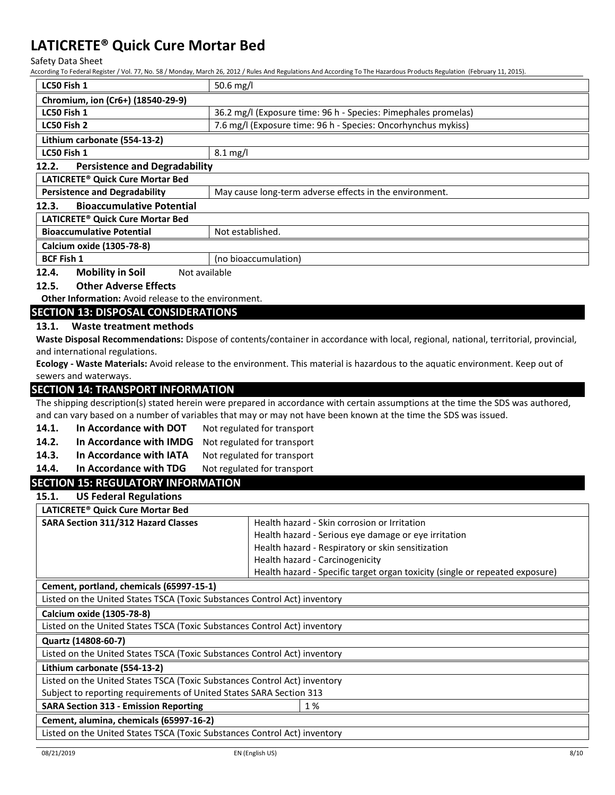Safety Data Sheet<br>According To Federal Pecis

According To Federal Register / Vol. 77, No. 58 / Monday, March 26, 2012 / Rules And Regulations And According To The Hazardous Products Regulation (February 11, 2015).

|                                                                                                  | According To Federal Register / Vol. 77, No. 587 Monday, March 26, 2012 / Rules And Regulations And According To The Hazardous Products Regulation (February 11, 2015). |  |
|--------------------------------------------------------------------------------------------------|-------------------------------------------------------------------------------------------------------------------------------------------------------------------------|--|
| LC50 Fish 1                                                                                      | 50.6 $mg/l$                                                                                                                                                             |  |
| Chromium, ion (Cr6+) (18540-29-9)                                                                |                                                                                                                                                                         |  |
| LC50 Fish 1                                                                                      | 36.2 mg/l (Exposure time: 96 h - Species: Pimephales promelas)                                                                                                          |  |
| LC50 Fish 2                                                                                      | 7.6 mg/l (Exposure time: 96 h - Species: Oncorhynchus mykiss)                                                                                                           |  |
| Lithium carbonate (554-13-2)                                                                     |                                                                                                                                                                         |  |
| LC50 Fish 1<br>$8.1$ mg/l                                                                        |                                                                                                                                                                         |  |
| 12.2.<br><b>Persistence and Degradability</b>                                                    |                                                                                                                                                                         |  |
| LATICRETE® Quick Cure Mortar Bed                                                                 |                                                                                                                                                                         |  |
| <b>Persistence and Degradability</b>                                                             | May cause long-term adverse effects in the environment.                                                                                                                 |  |
| 12.3.<br><b>Bioaccumulative Potential</b>                                                        |                                                                                                                                                                         |  |
| LATICRETE® Quick Cure Mortar Bed                                                                 |                                                                                                                                                                         |  |
| <b>Bioaccumulative Potential</b>                                                                 | Not established.                                                                                                                                                        |  |
| Calcium oxide (1305-78-8)                                                                        |                                                                                                                                                                         |  |
| <b>BCF Fish 1</b>                                                                                | (no bioaccumulation)                                                                                                                                                    |  |
| 12.4.<br><b>Mobility in Soil</b><br>Not available                                                |                                                                                                                                                                         |  |
| <b>Other Adverse Effects</b><br>12.5.                                                            |                                                                                                                                                                         |  |
| Other Information: Avoid release to the environment.                                             |                                                                                                                                                                         |  |
| <b>SECTION 13: DISPOSAL CONSIDERATIONS</b>                                                       |                                                                                                                                                                         |  |
| 13.1.<br>Waste treatment methods                                                                 |                                                                                                                                                                         |  |
|                                                                                                  | Waste Disposal Recommendations: Dispose of contents/container in accordance with local, regional, national, territorial, provincial,                                    |  |
| and international regulations.                                                                   |                                                                                                                                                                         |  |
|                                                                                                  | Ecology - Waste Materials: Avoid release to the environment. This material is hazardous to the aquatic environment. Keep out of                                         |  |
| sewers and waterways.                                                                            |                                                                                                                                                                         |  |
| <b>SECTION 14: TRANSPORT INFORMATION</b>                                                         |                                                                                                                                                                         |  |
|                                                                                                  | The shipping description(s) stated herein were prepared in accordance with certain assumptions at the time the SDS was authored,                                        |  |
|                                                                                                  | and can vary based on a number of variables that may or may not have been known at the time the SDS was issued.                                                         |  |
| In Accordance with DOT<br>14.1.                                                                  | Not regulated for transport                                                                                                                                             |  |
| 14.2.<br>In Accordance with IMDG<br>Not regulated for transport                                  |                                                                                                                                                                         |  |
| 14.3.<br>In Accordance with IATA<br>Not regulated for transport                                  |                                                                                                                                                                         |  |
| In Accordance with TDG<br>14.4.                                                                  | Not regulated for transport                                                                                                                                             |  |
| <b>SECTION 15: REGULATORY INFORMATION</b>                                                        |                                                                                                                                                                         |  |
| <b>US Federal Regulations</b><br>15.1.                                                           |                                                                                                                                                                         |  |
| LATICRETE® Quick Cure Mortar Bed                                                                 |                                                                                                                                                                         |  |
| <b>SARA Section 311/312 Hazard Classes</b>                                                       | Health hazard - Skin corrosion or Irritation                                                                                                                            |  |
|                                                                                                  | Health hazard - Serious eye damage or eye irritation                                                                                                                    |  |
|                                                                                                  | Health hazard - Respiratory or skin sensitization                                                                                                                       |  |
|                                                                                                  | Health hazard - Carcinogenicity                                                                                                                                         |  |
|                                                                                                  | Health hazard - Specific target organ toxicity (single or repeated exposure)                                                                                            |  |
| Cement, portland, chemicals (65997-15-1)                                                         |                                                                                                                                                                         |  |
| Listed on the United States TSCA (Toxic Substances Control Act) inventory                        |                                                                                                                                                                         |  |
| Calcium oxide (1305-78-8)                                                                        |                                                                                                                                                                         |  |
| Listed on the United States TSCA (Toxic Substances Control Act) inventory                        |                                                                                                                                                                         |  |
|                                                                                                  |                                                                                                                                                                         |  |
| Quartz (14808-60-7)<br>Listed on the United States TSCA (Toxic Substances Control Act) inventory |                                                                                                                                                                         |  |
|                                                                                                  |                                                                                                                                                                         |  |
| Lithium carbonate (554-13-2)                                                                     |                                                                                                                                                                         |  |
| Listed on the United States TSCA (Toxic Substances Control Act) inventory                        |                                                                                                                                                                         |  |
| Subject to reporting requirements of United States SARA Section 313                              |                                                                                                                                                                         |  |
| <b>SARA Section 313 - Emission Reporting</b>                                                     | 1%                                                                                                                                                                      |  |
| Cement, alumina, chemicals (65997-16-2)                                                          |                                                                                                                                                                         |  |
| Listed on the United States TSCA (Toxic Substances Control Act) inventory                        |                                                                                                                                                                         |  |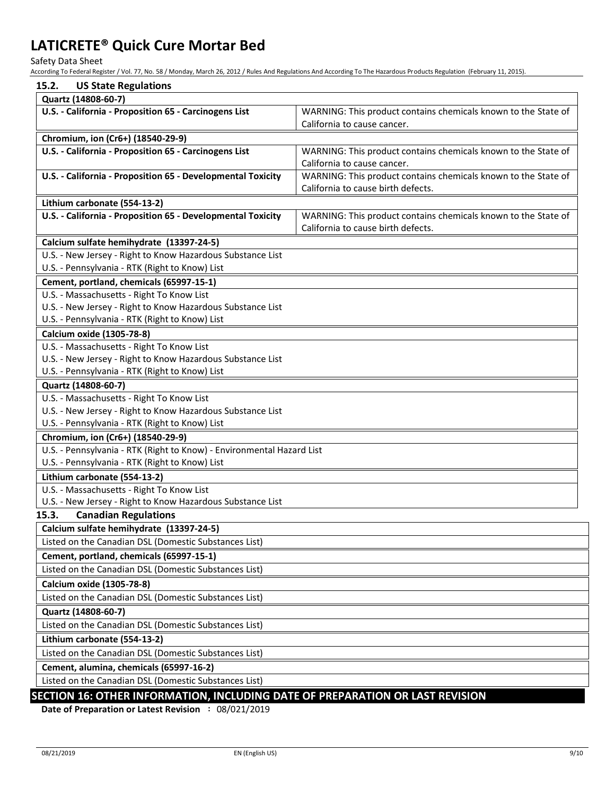Safety Data Sheet

According To Federal Register / Vol. 77, No. 58 / Monday, March 26, 2012 / Rules And Regulations And According To The Hazardous Products Regulation (February 11, 2015).

| 15.2.<br><b>US State Regulations</b>                                         |                                                                                               |
|------------------------------------------------------------------------------|-----------------------------------------------------------------------------------------------|
| Quartz (14808-60-7)                                                          |                                                                                               |
| U.S. - California - Proposition 65 - Carcinogens List                        | WARNING: This product contains chemicals known to the State of<br>California to cause cancer. |
| Chromium, ion (Cr6+) (18540-29-9)                                            |                                                                                               |
| U.S. - California - Proposition 65 - Carcinogens List                        | WARNING: This product contains chemicals known to the State of                                |
|                                                                              | California to cause cancer.                                                                   |
| U.S. - California - Proposition 65 - Developmental Toxicity                  | WARNING: This product contains chemicals known to the State of                                |
|                                                                              | California to cause birth defects.                                                            |
| Lithium carbonate (554-13-2)                                                 |                                                                                               |
| U.S. - California - Proposition 65 - Developmental Toxicity                  | WARNING: This product contains chemicals known to the State of                                |
|                                                                              | California to cause birth defects.                                                            |
| Calcium sulfate hemihydrate (13397-24-5)                                     |                                                                                               |
| U.S. - New Jersey - Right to Know Hazardous Substance List                   |                                                                                               |
| U.S. - Pennsylvania - RTK (Right to Know) List                               |                                                                                               |
| Cement, portland, chemicals (65997-15-1)                                     |                                                                                               |
| U.S. - Massachusetts - Right To Know List                                    |                                                                                               |
| U.S. - New Jersey - Right to Know Hazardous Substance List                   |                                                                                               |
| U.S. - Pennsylvania - RTK (Right to Know) List                               |                                                                                               |
| Calcium oxide (1305-78-8)                                                    |                                                                                               |
| U.S. - Massachusetts - Right To Know List                                    |                                                                                               |
| U.S. - New Jersey - Right to Know Hazardous Substance List                   |                                                                                               |
| U.S. - Pennsylvania - RTK (Right to Know) List                               |                                                                                               |
| Quartz (14808-60-7)                                                          |                                                                                               |
| U.S. - Massachusetts - Right To Know List                                    |                                                                                               |
| U.S. - New Jersey - Right to Know Hazardous Substance List                   |                                                                                               |
| U.S. - Pennsylvania - RTK (Right to Know) List                               |                                                                                               |
| Chromium, ion (Cr6+) (18540-29-9)                                            |                                                                                               |
| U.S. - Pennsylvania - RTK (Right to Know) - Environmental Hazard List        |                                                                                               |
| U.S. - Pennsylvania - RTK (Right to Know) List                               |                                                                                               |
| Lithium carbonate (554-13-2)                                                 |                                                                                               |
| U.S. - Massachusetts - Right To Know List                                    |                                                                                               |
| U.S. - New Jersey - Right to Know Hazardous Substance List                   |                                                                                               |
| <b>Canadian Regulations</b><br>15.3.                                         |                                                                                               |
| Calcium sulfate hemihydrate (13397-24-5)                                     |                                                                                               |
| Listed on the Canadian DSL (Domestic Substances List)                        |                                                                                               |
| Cement, portland, chemicals (65997-15-1)                                     |                                                                                               |
| Listed on the Canadian DSL (Domestic Substances List)                        |                                                                                               |
| Calcium oxide (1305-78-8)                                                    |                                                                                               |
| Listed on the Canadian DSL (Domestic Substances List)                        |                                                                                               |
| Quartz (14808-60-7)                                                          |                                                                                               |
| Listed on the Canadian DSL (Domestic Substances List)                        |                                                                                               |
| Lithium carbonate (554-13-2)                                                 |                                                                                               |
| Listed on the Canadian DSL (Domestic Substances List)                        |                                                                                               |
| Cement, alumina, chemicals (65997-16-2)                                      |                                                                                               |
| Listed on the Canadian DSL (Domestic Substances List)                        |                                                                                               |
| SECTION 16: OTHER INFORMATION INCLUDING DATE OF PREDARATION OR LAST REVISION |                                                                                               |

## **SECTION 16: OTHER INFORMATION, INCLUDING DATE OF PREPARATION OR LAST REVISION**

**Date of Preparation or Latest Revision :** 08/021/2019